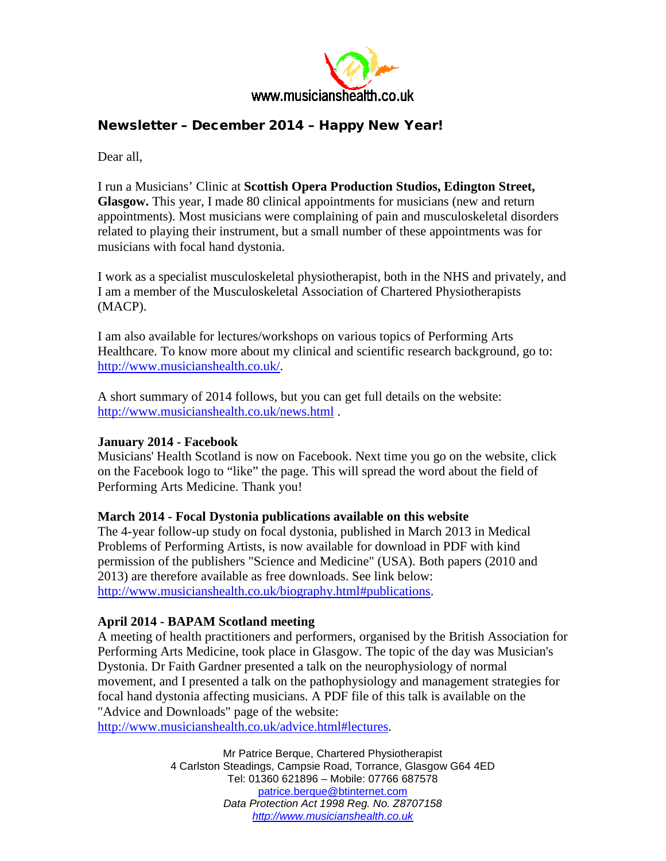

# Newsletter – December 2014 – Happy New Year!

Dear all,

I run a Musicians' Clinic at **Scottish Opera Production Studios, Edington Street, Glasgow.** This year, I made 80 clinical appointments for musicians (new and return appointments). Most musicians were complaining of pain and musculoskeletal disorders related to playing their instrument, but a small number of these appointments was for musicians with focal hand dystonia.

I work as a specialist musculoskeletal physiotherapist, both in the NHS and privately, and I am a member of the Musculoskeletal Association of Chartered Physiotherapists (MACP).

I am also available for lectures/workshops on various topics of Performing Arts Healthcare. To know more about my clinical and scientific research background, go to: [http://www.musicianshealth.co.uk/.](http://www.musicianshealth.co.uk/)

A short summary of 2014 follows, but you can get full details on the website: <http://www.musicianshealth.co.uk/news.html> .

## **January 2014 - Facebook**

Musicians' Health Scotland is now on Facebook. Next time you go on the website, click on the Facebook logo to "like" the page. This will spread the word about the field of Performing Arts Medicine. Thank you!

## **March 2014 - Focal Dystonia publications available on this website**

The 4-year follow-up study on focal dystonia, published in March 2013 in Medical Problems of Performing Artists, is now available for download in PDF with kind permission of the publishers "Science and Medicine" (USA). Both papers (2010 and 2013) are therefore available as free downloads. See link below: [http://www.musicianshealth.co.uk/biography.html#publications.](http://www.musicianshealth.co.uk/biography.html#publications)

## **April 2014 - BAPAM Scotland meeting**

A meeting of health practitioners and performers, organised by the British Association for Performing Arts Medicine, took place in Glasgow. The topic of the day was Musician's Dystonia. Dr Faith Gardner presented a talk on the neurophysiology of normal movement, and I presented a talk on the pathophysiology and management strategies for focal hand dystonia affecting musicians. A PDF file of this talk is available on the "Advice and Downloads" page of the website:

[http://www.musicianshealth.co.uk/advice.html#lectures.](http://www.musicianshealth.co.uk/advice.html#lectures)

Mr Patrice Berque, Chartered Physiotherapist 4 Carlston Steadings, Campsie Road, Torrance, Glasgow G64 4ED Tel: 01360 621896 – Mobile: 07766 687578 [patrice.berque@btinternet.com](mailto:patrice.berque@btinternet.com) *Data Protection Act 1998 Reg. No. Z8707158 [http://www.musicianshealth.co.uk](http://www.musicianshealth.co.uk/)*